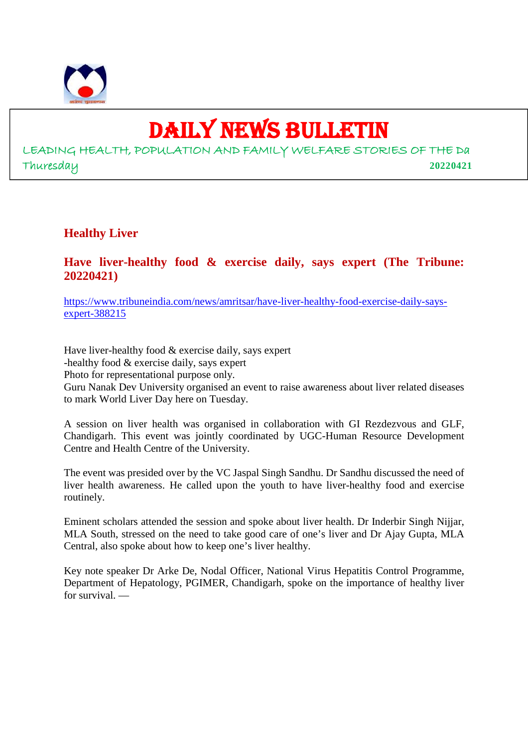

9

## DAILY NEWS BULLETIN

LEADING HEALTH, POPULATION AND FAMILY WELFARE STORIES OF THE Da Thuresday **20220421**

## **Healthy Liver**

## **Have liver-healthy food & exercise daily, says expert (The Tribune: 20220421)**

https://www.tribuneindia.com/news/amritsar/have-liver-healthy-food-exercise-daily-saysexpert-388215

Have liver-healthy food & exercise daily, says expert -healthy food & exercise daily, says expert Photo for representational purpose only. Guru Nanak Dev University organised an event to raise awareness about liver related diseases to mark World Liver Day here on Tuesday.

A session on liver health was organised in collaboration with GI Rezdezvous and GLF, Chandigarh. This event was jointly coordinated by UGC-Human Resource Development Centre and Health Centre of the University.

The event was presided over by the VC Jaspal Singh Sandhu. Dr Sandhu discussed the need of liver health awareness. He called upon the youth to have liver-healthy food and exercise routinely.

Eminent scholars attended the session and spoke about liver health. Dr Inderbir Singh Nijjar, MLA South, stressed on the need to take good care of one's liver and Dr Ajay Gupta, MLA Central, also spoke about how to keep one's liver healthy.

Key note speaker Dr Arke De, Nodal Officer, National Virus Hepatitis Control Programme, Department of Hepatology, PGIMER, Chandigarh, spoke on the importance of healthy liver for survival. —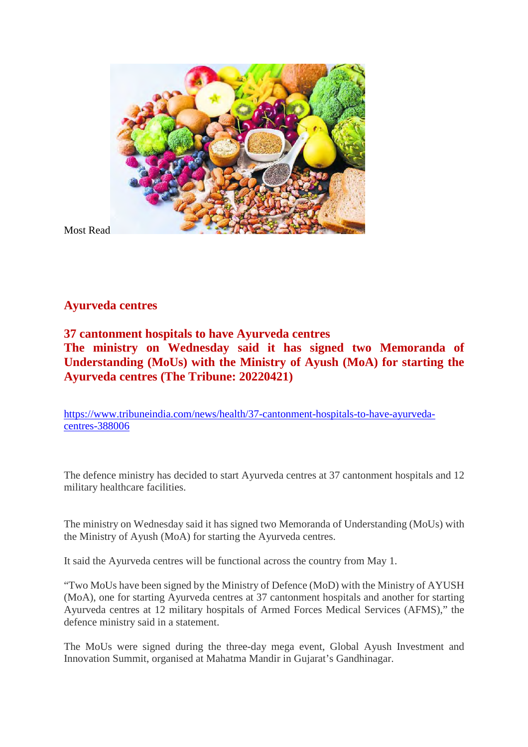

Most Read

## **Ayurveda centres**

## **37 cantonment hospitals to have Ayurveda centres The ministry on Wednesday said it has signed two Memoranda of Understanding (MoUs) with the Ministry of Ayush (MoA) for starting the Ayurveda centres (The Tribune: 20220421)**

https://www.tribuneindia.com/news/health/37-cantonment-hospitals-to-have-ayurvedacentres-388006

The defence ministry has decided to start Ayurveda centres at 37 cantonment hospitals and 12 military healthcare facilities.

The ministry on Wednesday said it has signed two Memoranda of Understanding (MoUs) with the Ministry of Ayush (MoA) for starting the Ayurveda centres.

It said the Ayurveda centres will be functional across the country from May 1.

"Two MoUs have been signed by the Ministry of Defence (MoD) with the Ministry of AYUSH (MoA), one for starting Ayurveda centres at 37 cantonment hospitals and another for starting Ayurveda centres at 12 military hospitals of Armed Forces Medical Services (AFMS)," the defence ministry said in a statement.

The MoUs were signed during the three-day mega event, Global Ayush Investment and Innovation Summit, organised at Mahatma Mandir in Gujarat's Gandhinagar.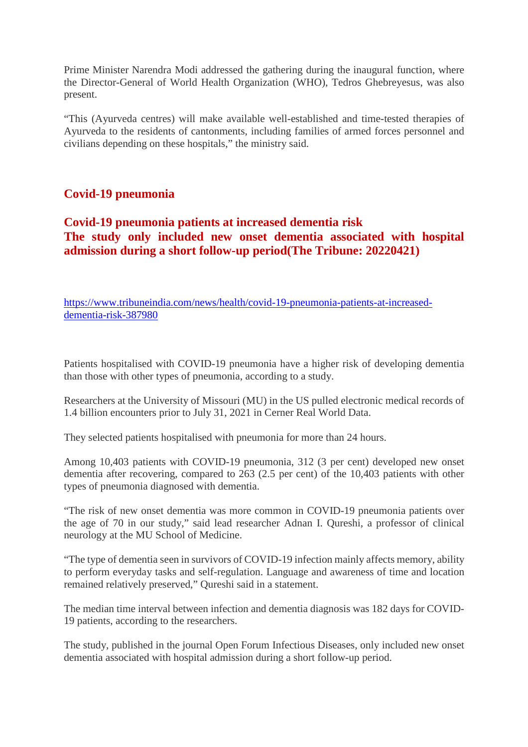Prime Minister Narendra Modi addressed the gathering during the inaugural function, where the Director-General of World Health Organization (WHO), Tedros Ghebreyesus, was also present.

"This (Ayurveda centres) will make available well-established and time-tested therapies of Ayurveda to the residents of cantonments, including families of armed forces personnel and civilians depending on these hospitals," the ministry said.

## **Covid-19 pneumonia**

## **Covid-19 pneumonia patients at increased dementia risk The study only included new onset dementia associated with hospital admission during a short follow-up period(The Tribune: 20220421)**

https://www.tribuneindia.com/news/health/covid-19-pneumonia-patients-at-increaseddementia-risk-387980

Patients hospitalised with COVID-19 pneumonia have a higher risk of developing dementia than those with other types of pneumonia, according to a study.

Researchers at the University of Missouri (MU) in the US pulled electronic medical records of 1.4 billion encounters prior to July 31, 2021 in Cerner Real World Data.

They selected patients hospitalised with pneumonia for more than 24 hours.

Among 10,403 patients with COVID-19 pneumonia, 312 (3 per cent) developed new onset dementia after recovering, compared to 263 (2.5 per cent) of the 10,403 patients with other types of pneumonia diagnosed with dementia.

"The risk of new onset dementia was more common in COVID-19 pneumonia patients over the age of 70 in our study," said lead researcher Adnan I. Qureshi, a professor of clinical neurology at the MU School of Medicine.

"The type of dementia seen in survivors of COVID-19 infection mainly affects memory, ability to perform everyday tasks and self-regulation. Language and awareness of time and location remained relatively preserved," Qureshi said in a statement.

The median time interval between infection and dementia diagnosis was 182 days for COVID-19 patients, according to the researchers.

The study, published in the journal Open Forum Infectious Diseases, only included new onset dementia associated with hospital admission during a short follow-up period.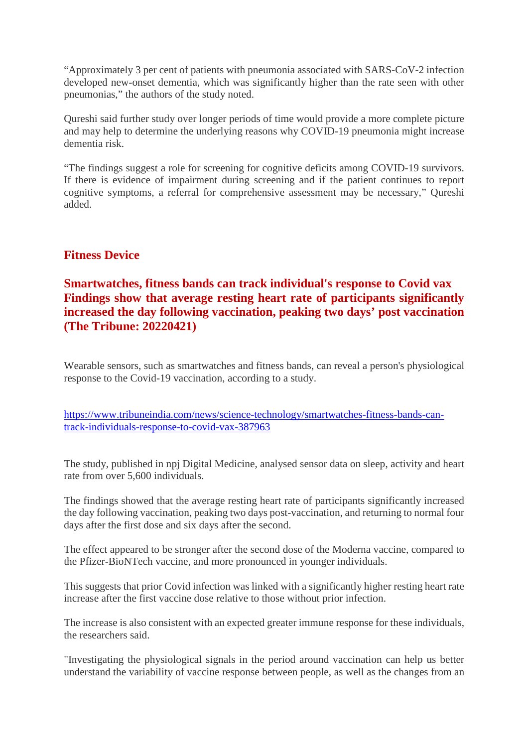"Approximately 3 per cent of patients with pneumonia associated with SARS-CoV-2 infection developed new-onset dementia, which was significantly higher than the rate seen with other pneumonias," the authors of the study noted.

Qureshi said further study over longer periods of time would provide a more complete picture and may help to determine the underlying reasons why COVID-19 pneumonia might increase dementia risk.

"The findings suggest a role for screening for cognitive deficits among COVID-19 survivors. If there is evidence of impairment during screening and if the patient continues to report cognitive symptoms, a referral for comprehensive assessment may be necessary," Qureshi added.

## **Fitness Device**

## **Smartwatches, fitness bands can track individual's response to Covid vax Findings show that average resting heart rate of participants significantly increased the day following vaccination, peaking two days' post vaccination (The Tribune: 20220421)**

Wearable sensors, such as smartwatches and fitness bands, can reveal a person's physiological response to the Covid-19 vaccination, according to a study.

https://www.tribuneindia.com/news/science-technology/smartwatches-fitness-bands-cantrack-individuals-response-to-covid-vax-387963

The study, published in npj Digital Medicine, analysed sensor data on sleep, activity and heart rate from over 5,600 individuals.

The findings showed that the average resting heart rate of participants significantly increased the day following vaccination, peaking two days post-vaccination, and returning to normal four days after the first dose and six days after the second.

The effect appeared to be stronger after the second dose of the Moderna vaccine, compared to the Pfizer-BioNTech vaccine, and more pronounced in younger individuals.

This suggests that prior Covid infection was linked with a significantly higher resting heart rate increase after the first vaccine dose relative to those without prior infection.

The increase is also consistent with an expected greater immune response for these individuals, the researchers said.

"Investigating the physiological signals in the period around vaccination can help us better understand the variability of vaccine response between people, as well as the changes from an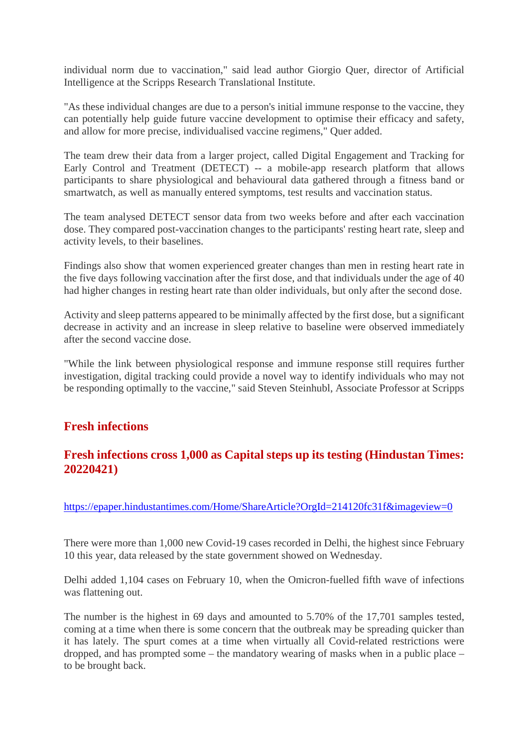individual norm due to vaccination," said lead author Giorgio Quer, director of Artificial Intelligence at the Scripps Research Translational Institute.

"As these individual changes are due to a person's initial immune response to the vaccine, they can potentially help guide future vaccine development to optimise their efficacy and safety, and allow for more precise, individualised vaccine regimens," Quer added.

The team drew their data from a larger project, called Digital Engagement and Tracking for Early Control and Treatment (DETECT) -- a mobile-app research platform that allows participants to share physiological and behavioural data gathered through a fitness band or smartwatch, as well as manually entered symptoms, test results and vaccination status.

The team analysed DETECT sensor data from two weeks before and after each vaccination dose. They compared post-vaccination changes to the participants' resting heart rate, sleep and activity levels, to their baselines.

Findings also show that women experienced greater changes than men in resting heart rate in the five days following vaccination after the first dose, and that individuals under the age of 40 had higher changes in resting heart rate than older individuals, but only after the second dose.

Activity and sleep patterns appeared to be minimally affected by the first dose, but a significant decrease in activity and an increase in sleep relative to baseline were observed immediately after the second vaccine dose.

"While the link between physiological response and immune response still requires further investigation, digital tracking could provide a novel way to identify individuals who may not be responding optimally to the vaccine," said Steven Steinhubl, Associate Professor at Scripps

## **Fresh infections**

## **Fresh infections cross 1,000 as Capital steps up its testing (Hindustan Times: 20220421)**

https://epaper.hindustantimes.com/Home/ShareArticle?OrgId=214120fc31f&imageview=0

There were more than 1,000 new Covid-19 cases recorded in Delhi, the highest since February 10 this year, data released by the state government showed on Wednesday.

Delhi added 1,104 cases on February 10, when the Omicron-fuelled fifth wave of infections was flattening out.

The number is the highest in 69 days and amounted to 5.70% of the 17,701 samples tested, coming at a time when there is some concern that the outbreak may be spreading quicker than it has lately. The spurt comes at a time when virtually all Covid-related restrictions were dropped, and has prompted some – the mandatory wearing of masks when in a public place – to be brought back.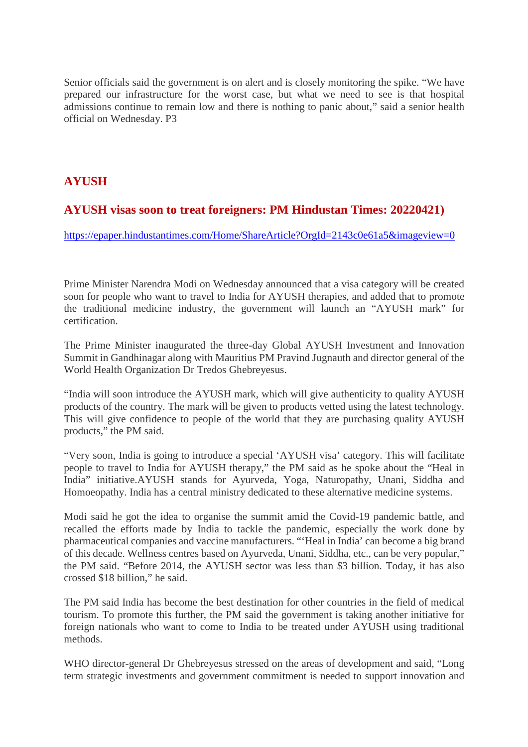Senior officials said the government is on alert and is closely monitoring the spike. "We have prepared our infrastructure for the worst case, but what we need to see is that hospital admissions continue to remain low and there is nothing to panic about," said a senior health official on Wednesday. P3

## **AYUSH**

## **AYUSH visas soon to treat foreigners: PM Hindustan Times: 20220421)**

https://epaper.hindustantimes.com/Home/ShareArticle?OrgId=2143c0e61a5&imageview=0

Prime Minister Narendra Modi on Wednesday announced that a visa category will be created soon for people who want to travel to India for AYUSH therapies, and added that to promote the traditional medicine industry, the government will launch an "AYUSH mark" for certification.

The Prime Minister inaugurated the three-day Global AYUSH Investment and Innovation Summit in Gandhinagar along with Mauritius PM Pravind Jugnauth and director general of the World Health Organization Dr Tredos Ghebreyesus.

"India will soon introduce the AYUSH mark, which will give authenticity to quality AYUSH products of the country. The mark will be given to products vetted using the latest technology. This will give confidence to people of the world that they are purchasing quality AYUSH products," the PM said.

"Very soon, India is going to introduce a special 'AYUSH visa' category. This will facilitate people to travel to India for AYUSH therapy," the PM said as he spoke about the "Heal in India" initiative.AYUSH stands for Ayurveda, Yoga, Naturopathy, Unani, Siddha and Homoeopathy. India has a central ministry dedicated to these alternative medicine systems.

Modi said he got the idea to organise the summit amid the Covid-19 pandemic battle, and recalled the efforts made by India to tackle the pandemic, especially the work done by pharmaceutical companies and vaccine manufacturers. "'Heal in India' can become a big brand of this decade. Wellness centres based on Ayurveda, Unani, Siddha, etc., can be very popular," the PM said. "Before 2014, the AYUSH sector was less than \$3 billion. Today, it has also crossed \$18 billion," he said.

The PM said India has become the best destination for other countries in the field of medical tourism. To promote this further, the PM said the government is taking another initiative for foreign nationals who want to come to India to be treated under AYUSH using traditional methods.

WHO director-general Dr Ghebreyesus stressed on the areas of development and said, "Long term strategic investments and government commitment is needed to support innovation and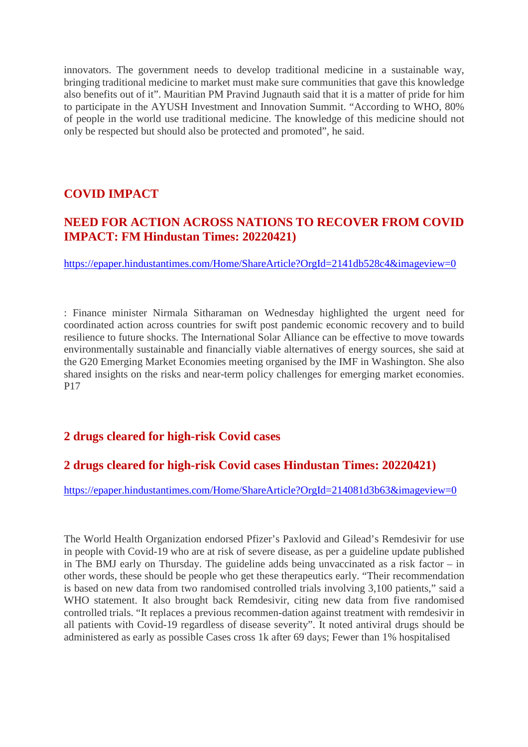innovators. The government needs to develop traditional medicine in a sustainable way, bringing traditional medicine to market must make sure communities that gave this knowledge also benefits out of it". Mauritian PM Pravind Jugnauth said that it is a matter of pride for him to participate in the AYUSH Investment and Innovation Summit. "According to WHO, 80% of people in the world use traditional medicine. The knowledge of this medicine should not only be respected but should also be protected and promoted", he said.

## **COVID IMPACT**

## **NEED FOR ACTION ACROSS NATIONS TO RECOVER FROM COVID IMPACT: FM Hindustan Times: 20220421)**

https://epaper.hindustantimes.com/Home/ShareArticle?OrgId=2141db528c4&imageview=0

: Finance minister Nirmala Sitharaman on Wednesday highlighted the urgent need for coordinated action across countries for swift post pandemic economic recovery and to build resilience to future shocks. The International Solar Alliance can be effective to move towards environmentally sustainable and financially viable alternatives of energy sources, she said at the G20 Emerging Market Economies meeting organised by the IMF in Washington. She also shared insights on the risks and near-term policy challenges for emerging market economies. P17

## **2 drugs cleared for high-risk Covid cases**

## **2 drugs cleared for high-risk Covid cases Hindustan Times: 20220421)**

https://epaper.hindustantimes.com/Home/ShareArticle?OrgId=214081d3b63&imageview=0

The World Health Organization endorsed Pfizer's Paxlovid and Gilead's Remdesivir for use in people with Covid-19 who are at risk of severe disease, as per a guideline update published in The BMJ early on Thursday. The guideline adds being unvaccinated as a risk factor – in other words, these should be people who get these therapeutics early. "Their recommendation is based on new data from two randomised controlled trials involving 3,100 patients," said a WHO statement. It also brought back Remdesivir, citing new data from five randomised controlled trials. "It replaces a previous recommen-dation against treatment with remdesivir in all patients with Covid-19 regardless of disease severity". It noted antiviral drugs should be administered as early as possible Cases cross 1k after 69 days; Fewer than 1% hospitalised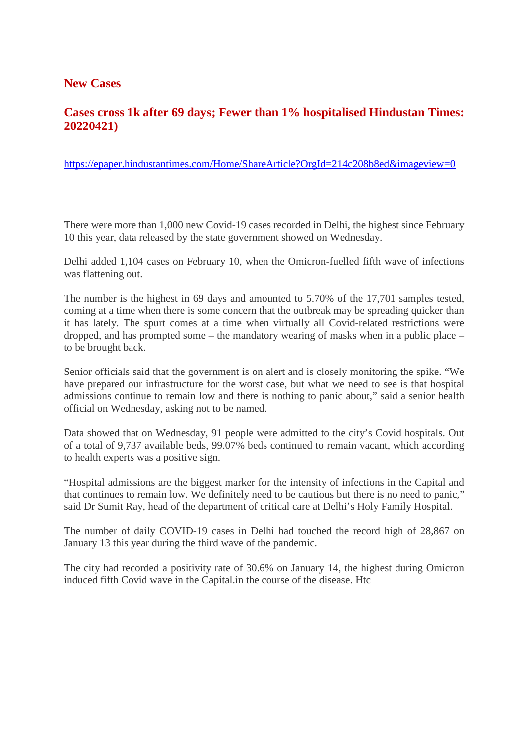## **New Cases**

## **Cases cross 1k after 69 days; Fewer than 1% hospitalised Hindustan Times: 20220421)**

https://epaper.hindustantimes.com/Home/ShareArticle?OrgId=214c208b8ed&imageview=0

There were more than 1,000 new Covid-19 cases recorded in Delhi, the highest since February 10 this year, data released by the state government showed on Wednesday.

Delhi added 1,104 cases on February 10, when the Omicron-fuelled fifth wave of infections was flattening out.

The number is the highest in 69 days and amounted to 5.70% of the 17,701 samples tested, coming at a time when there is some concern that the outbreak may be spreading quicker than it has lately. The spurt comes at a time when virtually all Covid-related restrictions were dropped, and has prompted some – the mandatory wearing of masks when in a public place – to be brought back.

Senior officials said that the government is on alert and is closely monitoring the spike. "We have prepared our infrastructure for the worst case, but what we need to see is that hospital admissions continue to remain low and there is nothing to panic about," said a senior health official on Wednesday, asking not to be named.

Data showed that on Wednesday, 91 people were admitted to the city's Covid hospitals. Out of a total of 9,737 available beds, 99.07% beds continued to remain vacant, which according to health experts was a positive sign.

"Hospital admissions are the biggest marker for the intensity of infections in the Capital and that continues to remain low. We definitely need to be cautious but there is no need to panic," said Dr Sumit Ray, head of the department of critical care at Delhi's Holy Family Hospital.

The number of daily COVID-19 cases in Delhi had touched the record high of 28,867 on January 13 this year during the third wave of the pandemic.

The city had recorded a positivity rate of 30.6% on January 14, the highest during Omicron induced fifth Covid wave in the Capital.in the course of the disease. Htc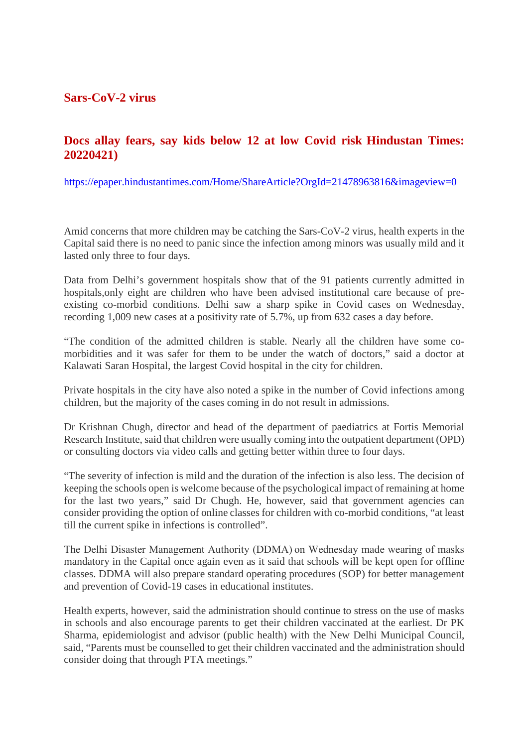## **Sars-CoV-2 virus**

## **Docs allay fears, say kids below 12 at low Covid risk Hindustan Times: 20220421)**

https://epaper.hindustantimes.com/Home/ShareArticle?OrgId=21478963816&imageview=0

Amid concerns that more children may be catching the Sars-CoV-2 virus, health experts in the Capital said there is no need to panic since the infection among minors was usually mild and it lasted only three to four days.

Data from Delhi's government hospitals show that of the 91 patients currently admitted in hospitals,only eight are children who have been advised institutional care because of preexisting co-morbid conditions. Delhi saw a sharp spike in Covid cases on Wednesday, recording 1,009 new cases at a positivity rate of 5.7%, up from 632 cases a day before.

"The condition of the admitted children is stable. Nearly all the children have some comorbidities and it was safer for them to be under the watch of doctors," said a doctor at Kalawati Saran Hospital, the largest Covid hospital in the city for children.

Private hospitals in the city have also noted a spike in the number of Covid infections among children, but the majority of the cases coming in do not result in admissions.

Dr Krishnan Chugh, director and head of the department of paediatrics at Fortis Memorial Research Institute, said that children were usually coming into the outpatient department (OPD) or consulting doctors via video calls and getting better within three to four days.

"The severity of infection is mild and the duration of the infection is also less. The decision of keeping the schools open is welcome because of the psychological impact of remaining at home for the last two years," said Dr Chugh. He, however, said that government agencies can consider providing the option of online classes for children with co-morbid conditions, "at least till the current spike in infections is controlled".

The Delhi Disaster Management Authority (DDMA) on Wednesday made wearing of masks mandatory in the Capital once again even as it said that schools will be kept open for offline classes. DDMA will also prepare standard operating procedures (SOP) for better management and prevention of Covid-19 cases in educational institutes.

Health experts, however, said the administration should continue to stress on the use of masks in schools and also encourage parents to get their children vaccinated at the earliest. Dr PK Sharma, epidemiologist and advisor (public health) with the New Delhi Municipal Council, said, "Parents must be counselled to get their children vaccinated and the administration should consider doing that through PTA meetings."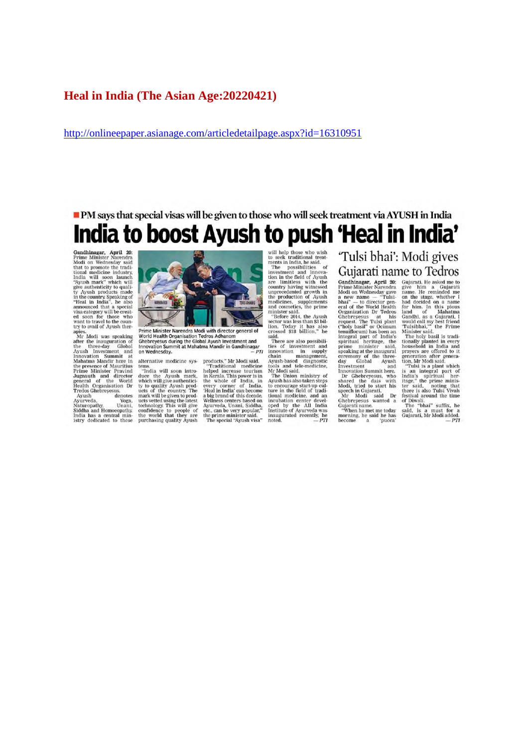#### **Heal in India (The Asian Age:20220421)**

http://onlineepaper.asianage.com/articledetailpage.aspx?id=16310951

## PM says that special visas will be given to those who will seek treatment via AYUSH in India India to boost Ayush to push 'Heal in India'

Gandhinagar, April 20:<br>Prime Minister Narendra<br>Modi on Wednesday said that to promote the traditional medicine industry,<br>India will soon launch<br>"Ayush mark" which will<br>give authenticity to qualigive authenticity to quality<br>and products made in the country. Speaking of "Heal in India", he also<br>announced that a special visa category will be created<br>want to travel to the country of which was the wind to travel to th

try to avail of Ayush thermines to avail of Ayush the<br>magnetic Microsoft and the three-day Global dayush Investment and Ayush Innovation Summit at Mahatma Mandin here in the presence of Mauritius Prime Minister Pravind Je

Health Organisation Dr<br>Tredos Ghebreyesus.<br>Ayush denotes<br>Ayurveda.<br>Naturopaday, Unani,<br>Naturopaday, Unani,<br>India has a central ministry dedicated to these



Prime Minister Narendra Modi with director general of<br>World Health Organisation Tedros Adhanom<br>Ghebreyesus during the Global Ayush Investment and<br>Ghebreyesus during the Global Ayush Investment and<br>Innovation Summit at Mah  $-PTI$ 

alternative medicine sys-

alternative medicine systems.<br>
"India will soon intro-<br>
"India will soon intro-<br>
alter the Ayush mark,<br>
which will give authenticity<br>
to you ally Ayush product<br>
ucts of the country. The<br>
mark will give non-product<br>
ucts ve

- PH<br>
products," Mr Modi said.<br>
"Traditional medicine<br>
helped increase tourism<br>
in Kerala. This power is in<br>
the whole of India, in<br>
the whole of India.<br>
The Perland of this decade.<br>
Heal in India<sup>2</sup> can become<br>
wellness c

will help those who wish<br>to seek traditional treatments in India, he said.<br>means in India, the possibilities of<br>investment and innovation in the field of Ayash<br>are limitless with the<br>cumtry having witnessed<br>means and const

crossed \$13 billion," he said all sillion," he said all sillion," he fluessed for investment and range<br>permut and sillion in supply channovation in supply Ayush-based diagnostic<br>Ayush-based diagnostic tools and tele-medic

'Tulsi bhai': Modi gives Gujarati name to Tedros

**Gujarati nam**<br>
Gandhinagar, April 20:<br>
Frime Minister Narendra<br>
Prime Minister Narendra<br>
Padi on Wednesday gave<br>
a new name — "Tulist-<br>
eral of the World Heath<br>
eral of the World Heath<br>
Cropanization Dr Tedros<br>
Ghebreyes

Gujarati, He asked me to gujarati, He asked me to gujarati, He asked me to name. He reminded me and neight on a name for thim, In this plous family for thim, In this plous Gandhi, as a Gujarati, I would call my best frien Gujarati. He asked me to<br>give him a Gujarati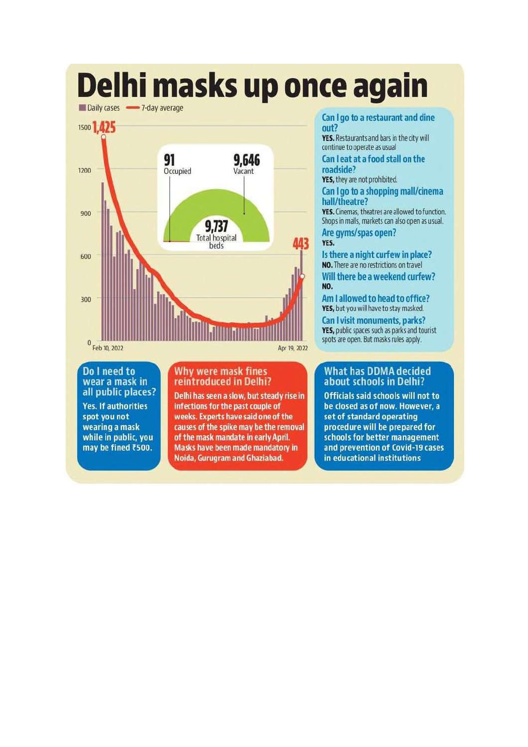# Delhi masks up once again





Do I need to wear a mask in all public places? **Yes. If authorities** spot you not wearing a mask while in public, you may be fined ₹500.

#### Why were mask fines reintroduced in Delhi?

Delhi has seen a slow, but steady rise in infections for the past couple of weeks. Experts have said one of the causes of the spike may be the removal of the mask mandate in early April. Masks have been made mandatory in Noida, Gurugram and Ghaziabad.

#### Can I go to a restaurant and dine out?

YES. Restaurants and bars in the city will continue to operate as usual

Can I eat at a food stall on the roadside?

YES, they are not prohibited.

Can I go to a shopping mall/cinema hall/theatre?

YES. Cinemas, theatres are allowed to function. Shops in malls, markets can also open as usual. Are gyms/spas open?

#### YES.

Is there a night curfew in place? NO. There are no restrictions on travel Will there be a weekend curfew? NO.

Am I allowed to head to office? YES, but you will have to stay masked. Can I visit monuments, parks? YES, public spaces such as parks and tourist spots are open. But masks rules apply.

#### What has DDMA decided about schools in Delhi?

**Officials said schools will not to** be closed as of now. However, a set of standard operating procedure will be prepared for schools for better management and prevention of Covid-19 cases in educational institutions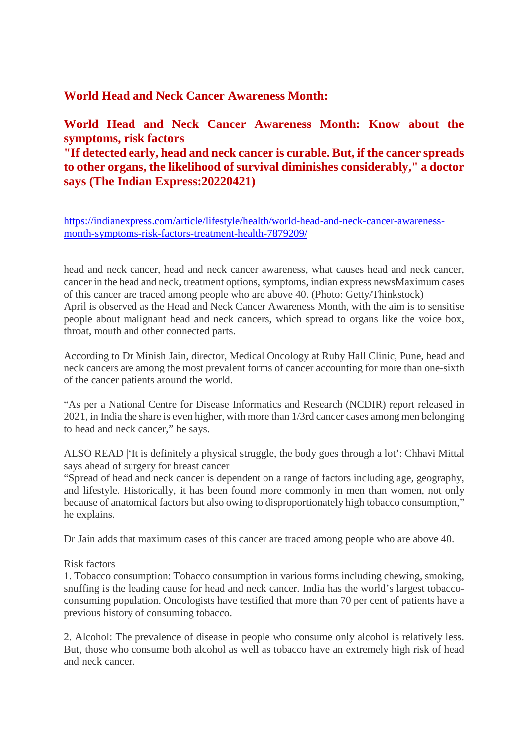## **World Head and Neck Cancer Awareness Month:**

## **World Head and Neck Cancer Awareness Month: Know about the symptoms, risk factors**

## **"If detected early, head and neck cancer is curable. But, if the cancer spreads to other organs, the likelihood of survival diminishes considerably," a doctor says (The Indian Express:20220421)**

https://indianexpress.com/article/lifestyle/health/world-head-and-neck-cancer-awarenessmonth-symptoms-risk-factors-treatment-health-7879209/

head and neck cancer, head and neck cancer awareness, what causes head and neck cancer, cancer in the head and neck, treatment options, symptoms, indian express newsMaximum cases of this cancer are traced among people who are above 40. (Photo: Getty/Thinkstock) April is observed as the Head and Neck Cancer Awareness Month, with the aim is to sensitise people about malignant head and neck cancers, which spread to organs like the voice box, throat, mouth and other connected parts.

According to Dr Minish Jain, director, Medical Oncology at Ruby Hall Clinic, Pune, head and neck cancers are among the most prevalent forms of cancer accounting for more than one-sixth of the cancer patients around the world.

"As per a National Centre for Disease Informatics and Research (NCDIR) report released in 2021, in India the share is even higher, with more than 1/3rd cancer cases among men belonging to head and neck cancer," he says.

ALSO READ |'It is definitely a physical struggle, the body goes through a lot': Chhavi Mittal says ahead of surgery for breast cancer

"Spread of head and neck cancer is dependent on a range of factors including age, geography, and lifestyle. Historically, it has been found more commonly in men than women, not only because of anatomical factors but also owing to disproportionately high tobacco consumption," he explains.

Dr Jain adds that maximum cases of this cancer are traced among people who are above 40.

#### Risk factors

1. Tobacco consumption: Tobacco consumption in various forms including chewing, smoking, snuffing is the leading cause for head and neck cancer. India has the world's largest tobaccoconsuming population. Oncologists have testified that more than 70 per cent of patients have a previous history of consuming tobacco.

2. Alcohol: The prevalence of disease in people who consume only alcohol is relatively less. But, those who consume both alcohol as well as tobacco have an extremely high risk of head and neck cancer.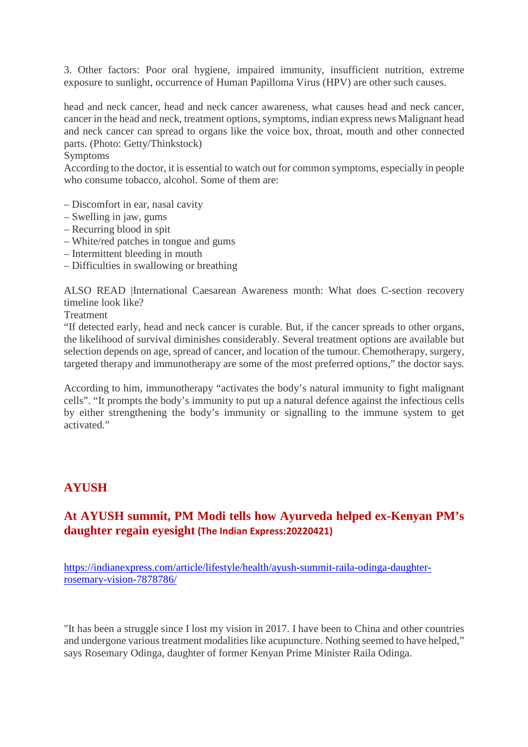3. Other factors: Poor oral hygiene, impaired immunity, insufficient nutrition, extreme exposure to sunlight, occurrence of Human Papilloma Virus (HPV) are other such causes.

head and neck cancer, head and neck cancer awareness, what causes head and neck cancer, cancer in the head and neck, treatment options, symptoms, indian express news Malignant head and neck cancer can spread to organs like the voice box, throat, mouth and other connected parts. (Photo: Getty/Thinkstock)

#### Symptoms

According to the doctor, it is essential to watch out for common symptoms, especially in people who consume tobacco, alcohol. Some of them are:

- Discomfort in ear, nasal cavity
- Swelling in jaw, gums
- Recurring blood in spit
- White/red patches in tongue and gums
- Intermittent bleeding in mouth
- Difficulties in swallowing or breathing

ALSO READ |International Caesarean Awareness month: What does C-section recovery timeline look like?

**Treatment** 

"If detected early, head and neck cancer is curable. But, if the cancer spreads to other organs, the likelihood of survival diminishes considerably. Several treatment options are available but selection depends on age, spread of cancer, and location of the tumour. Chemotherapy, surgery, targeted therapy and immunotherapy are some of the most preferred options," the doctor says.

According to him, immunotherapy "activates the body's natural immunity to fight malignant cells". "It prompts the body's immunity to put up a natural defence against the infectious cells by either strengthening the body's immunity or signalling to the immune system to get activated."

## **AYUSH**

## **At AYUSH summit, PM Modi tells how Ayurveda helped ex-Kenyan PM's daughter regain eyesight (The Indian Express:20220421)**

https://indianexpress.com/article/lifestyle/health/ayush-summit-raila-odinga-daughterrosemary-vision-7878786/

"It has been a struggle since I lost my vision in 2017. I have been to China and other countries and undergone various treatment modalities like acupuncture. Nothing seemed to have helped," says Rosemary Odinga, daughter of former Kenyan Prime Minister Raila Odinga.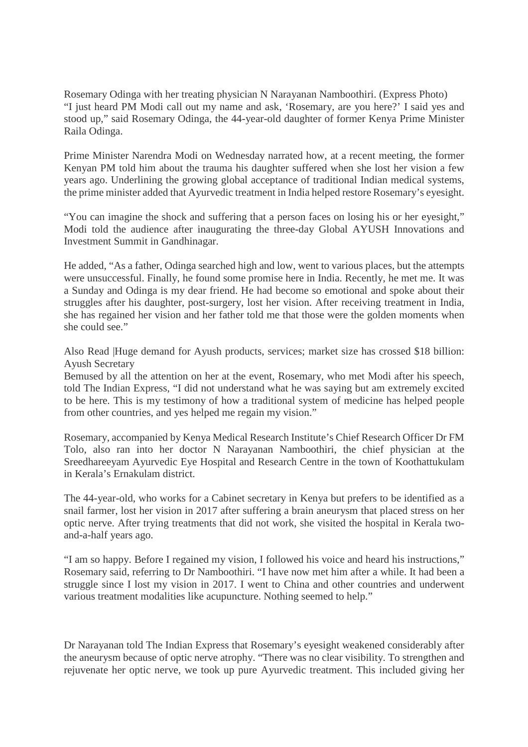Rosemary Odinga with her treating physician N Narayanan Namboothiri. (Express Photo) "I just heard PM Modi call out my name and ask, 'Rosemary, are you here?' I said yes and stood up," said Rosemary Odinga, the 44-year-old daughter of former Kenya Prime Minister Raila Odinga.

Prime Minister Narendra Modi on Wednesday narrated how, at a recent meeting, the former Kenyan PM told him about the trauma his daughter suffered when she lost her vision a few years ago. Underlining the growing global acceptance of traditional Indian medical systems, the prime minister added that Ayurvedic treatment in India helped restore Rosemary's eyesight.

"You can imagine the shock and suffering that a person faces on losing his or her eyesight," Modi told the audience after inaugurating the three-day Global AYUSH Innovations and Investment Summit in Gandhinagar.

He added, "As a father, Odinga searched high and low, went to various places, but the attempts were unsuccessful. Finally, he found some promise here in India. Recently, he met me. It was a Sunday and Odinga is my dear friend. He had become so emotional and spoke about their struggles after his daughter, post-surgery, lost her vision. After receiving treatment in India, she has regained her vision and her father told me that those were the golden moments when she could see."

Also Read |Huge demand for Ayush products, services; market size has crossed \$18 billion: Ayush Secretary

Bemused by all the attention on her at the event, Rosemary, who met Modi after his speech, told The Indian Express, "I did not understand what he was saying but am extremely excited to be here. This is my testimony of how a traditional system of medicine has helped people from other countries, and yes helped me regain my vision."

Rosemary, accompanied by Kenya Medical Research Institute's Chief Research Officer Dr FM Tolo, also ran into her doctor N Narayanan Namboothiri, the chief physician at the Sreedhareeyam Ayurvedic Eye Hospital and Research Centre in the town of Koothattukulam in Kerala's Ernakulam district.

The 44-year-old, who works for a Cabinet secretary in Kenya but prefers to be identified as a snail farmer, lost her vision in 2017 after suffering a brain aneurysm that placed stress on her optic nerve. After trying treatments that did not work, she visited the hospital in Kerala twoand-a-half years ago.

"I am so happy. Before I regained my vision, I followed his voice and heard his instructions," Rosemary said, referring to Dr Namboothiri. "I have now met him after a while. It had been a struggle since I lost my vision in 2017. I went to China and other countries and underwent various treatment modalities like acupuncture. Nothing seemed to help."

Dr Narayanan told The Indian Express that Rosemary's eyesight weakened considerably after the aneurysm because of optic nerve atrophy. "There was no clear visibility. To strengthen and rejuvenate her optic nerve, we took up pure Ayurvedic treatment. This included giving her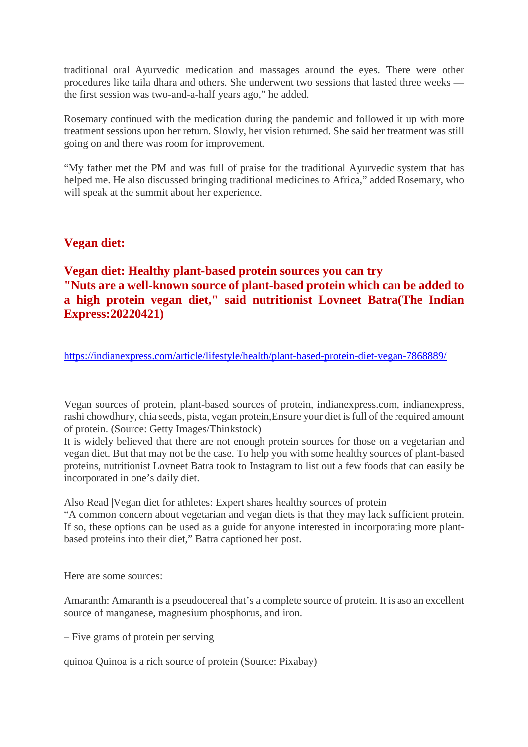traditional oral Ayurvedic medication and massages around the eyes. There were other procedures like taila dhara and others. She underwent two sessions that lasted three weeks the first session was two-and-a-half years ago," he added.

Rosemary continued with the medication during the pandemic and followed it up with more treatment sessions upon her return. Slowly, her vision returned. She said her treatment was still going on and there was room for improvement.

"My father met the PM and was full of praise for the traditional Ayurvedic system that has helped me. He also discussed bringing traditional medicines to Africa," added Rosemary, who will speak at the summit about her experience.

## **Vegan diet:**

## **Vegan diet: Healthy plant-based protein sources you can try "Nuts are a well-known source of plant-based protein which can be added to a high protein vegan diet," said nutritionist Lovneet Batra(The Indian Express:20220421)**

https://indianexpress.com/article/lifestyle/health/plant-based-protein-diet-vegan-7868889/

Vegan sources of protein, plant-based sources of protein, indianexpress.com, indianexpress, rashi chowdhury, chia seeds, pista, vegan protein,Ensure your diet is full of the required amount of protein. (Source: Getty Images/Thinkstock)

It is widely believed that there are not enough protein sources for those on a vegetarian and vegan diet. But that may not be the case. To help you with some healthy sources of plant-based proteins, nutritionist Lovneet Batra took to Instagram to list out a few foods that can easily be incorporated in one's daily diet.

Also Read |Vegan diet for athletes: Expert shares healthy sources of protein

"A common concern about vegetarian and vegan diets is that they may lack sufficient protein. If so, these options can be used as a guide for anyone interested in incorporating more plantbased proteins into their diet," Batra captioned her post.

Here are some sources:

Amaranth: Amaranth is a pseudocereal that's a complete source of protein. It is aso an excellent source of manganese, magnesium phosphorus, and iron.

– Five grams of protein per serving

quinoa Quinoa is a rich source of protein (Source: Pixabay)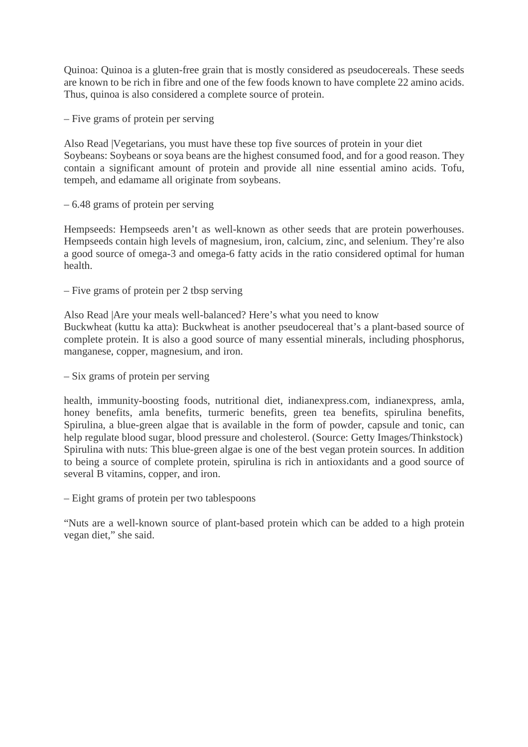Quinoa: Quinoa is a gluten-free grain that is mostly considered as pseudocereals. These seeds are known to be rich in fibre and one of the few foods known to have complete 22 amino acids. Thus, quinoa is also considered a complete source of protein.

– Five grams of protein per serving

Also Read |Vegetarians, you must have these top five sources of protein in your diet Soybeans: Soybeans or soya beans are the highest consumed food, and for a good reason. They contain a significant amount of protein and provide all nine essential amino acids. Tofu, tempeh, and edamame all originate from soybeans.

– 6.48 grams of protein per serving

Hempseeds: Hempseeds aren't as well-known as other seeds that are protein powerhouses. Hempseeds contain high levels of magnesium, iron, calcium, zinc, and selenium. They're also a good source of omega-3 and omega-6 fatty acids in the ratio considered optimal for human health.

– Five grams of protein per 2 tbsp serving

Also Read |Are your meals well-balanced? Here's what you need to know Buckwheat (kuttu ka atta): Buckwheat is another pseudocereal that's a plant-based source of complete protein. It is also a good source of many essential minerals, including phosphorus, manganese, copper, magnesium, and iron.

– Six grams of protein per serving

health, immunity-boosting foods, nutritional diet, indianexpress.com, indianexpress, amla, honey benefits, amla benefits, turmeric benefits, green tea benefits, spirulina benefits, Spirulina, a blue-green algae that is available in the form of powder, capsule and tonic, can help regulate blood sugar, blood pressure and cholesterol. (Source: Getty Images/Thinkstock) Spirulina with nuts: This blue-green algae is one of the best vegan protein sources. In addition to being a source of complete protein, spirulina is rich in antioxidants and a good source of several B vitamins, copper, and iron.

– Eight grams of protein per two tablespoons

"Nuts are a well-known source of plant-based protein which can be added to a high protein vegan diet," she said.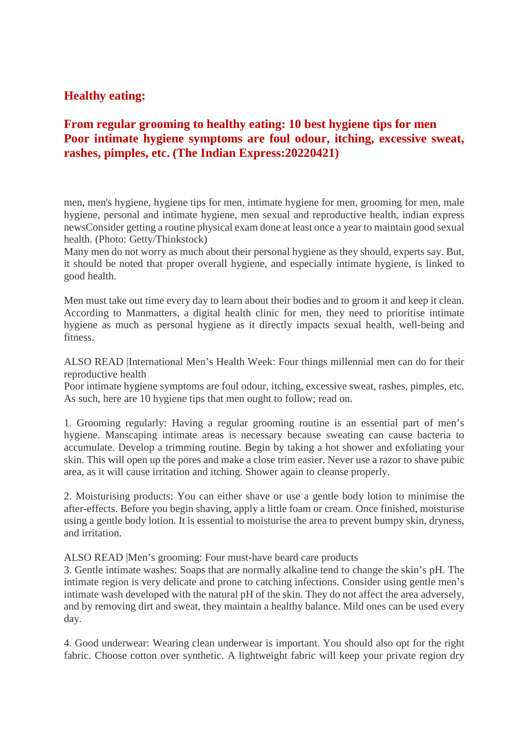## **Healthy eating:**

## **From regular grooming to healthy eating: 10 best hygiene tips for men Poor intimate hygiene symptoms are foul odour, itching, excessive sweat, rashes, pimples, etc. (The Indian Express:20220421)**

men, men's hygiene, hygiene tips for men, intimate hygiene for men, grooming for men, male hygiene, personal and intimate hygiene, men sexual and reproductive health, indian express newsConsider getting a routine physical exam done at least once a year to maintain good sexual health. (Photo: Getty/Thinkstock)

Many men do not worry as much about their personal hygiene as they should, experts say. But, it should be noted that proper overall hygiene, and especially intimate hygiene, is linked to good health.

Men must take out time every day to learn about their bodies and to groom it and keep it clean. According to Manmatters, a digital health clinic for men, they need to prioritise intimate hygiene as much as personal hygiene as it directly impacts sexual health, well-being and fitness.

ALSO READ |International Men's Health Week: Four things millennial men can do for their reproductive health

Poor intimate hygiene symptoms are foul odour, itching, excessive sweat, rashes, pimples, etc. As such, here are 10 hygiene tips that men ought to follow; read on.

1. Grooming regularly: Having a regular grooming routine is an essential part of men's hygiene. Manscaping intimate areas is necessary because sweating can cause bacteria to accumulate. Develop a trimming routine. Begin by taking a hot shower and exfoliating your skin. This will open up the pores and make a close trim easier. Never use a razor to shave pubic area, as it will cause irritation and itching. Shower again to cleanse properly.

2. Moisturising products: You can either shave or use a gentle body lotion to minimise the after-effects. Before you begin shaving, apply a little foam or cream. Once finished, moisturise using a gentle body lotion. It is essential to moisturise the area to prevent bumpy skin, dryness, and irritation.

ALSO READ |Men's grooming: Four must-have beard care products

3. Gentle intimate washes: Soaps that are normally alkaline tend to change the skin's pH. The intimate region is very delicate and prone to catching infections. Consider using gentle men's intimate wash developed with the natural pH of the skin. They do not affect the area adversely, and by removing dirt and sweat, they maintain a healthy balance. Mild ones can be used every day.

4. Good underwear: Wearing clean underwear is important. You should also opt for the right fabric. Choose cotton over synthetic. A lightweight fabric will keep your private region dry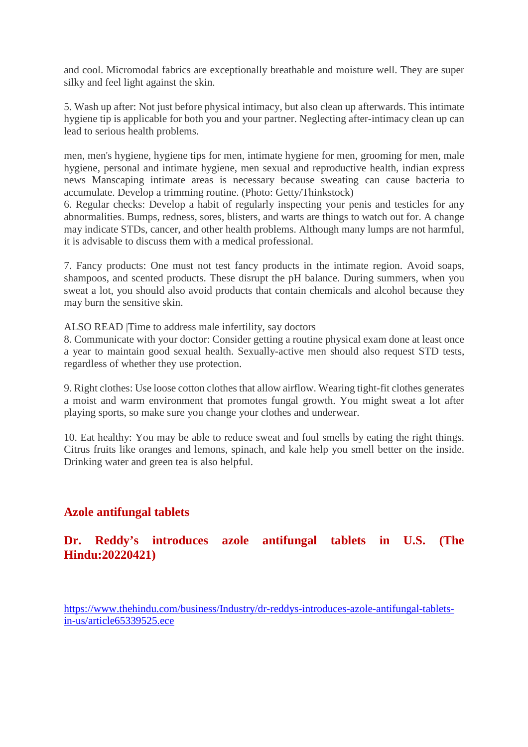and cool. Micromodal fabrics are exceptionally breathable and moisture well. They are super silky and feel light against the skin.

5. Wash up after: Not just before physical intimacy, but also clean up afterwards. This intimate hygiene tip is applicable for both you and your partner. Neglecting after-intimacy clean up can lead to serious health problems.

men, men's hygiene, hygiene tips for men, intimate hygiene for men, grooming for men, male hygiene, personal and intimate hygiene, men sexual and reproductive health, indian express news Manscaping intimate areas is necessary because sweating can cause bacteria to accumulate. Develop a trimming routine. (Photo: Getty/Thinkstock)

6. Regular checks: Develop a habit of regularly inspecting your penis and testicles for any abnormalities. Bumps, redness, sores, blisters, and warts are things to watch out for. A change may indicate STDs, cancer, and other health problems. Although many lumps are not harmful, it is advisable to discuss them with a medical professional.

7. Fancy products: One must not test fancy products in the intimate region. Avoid soaps, shampoos, and scented products. These disrupt the pH balance. During summers, when you sweat a lot, you should also avoid products that contain chemicals and alcohol because they may burn the sensitive skin.

ALSO READ |Time to address male infertility, say doctors

8. Communicate with your doctor: Consider getting a routine physical exam done at least once a year to maintain good sexual health. Sexually-active men should also request STD tests, regardless of whether they use protection.

9. Right clothes: Use loose cotton clothes that allow airflow. Wearing tight-fit clothes generates a moist and warm environment that promotes fungal growth. You might sweat a lot after playing sports, so make sure you change your clothes and underwear.

10. Eat healthy: You may be able to reduce sweat and foul smells by eating the right things. Citrus fruits like oranges and lemons, spinach, and kale help you smell better on the inside. Drinking water and green tea is also helpful.

## **Azole antifungal tablets**

## **Dr. Reddy's introduces azole antifungal tablets in U.S. (The Hindu:20220421)**

https://www.thehindu.com/business/Industry/dr-reddys-introduces-azole-antifungal-tabletsin-us/article65339525.ece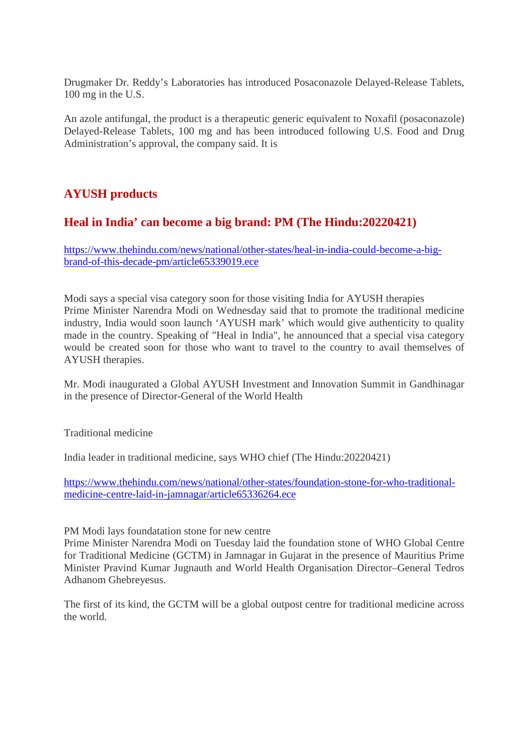Drugmaker Dr. Reddy's Laboratories has introduced Posaconazole Delayed-Release Tablets, 100 mg in the U.S.

An azole antifungal, the product is a therapeutic generic equivalent to Noxafil (posaconazole) Delayed-Release Tablets, 100 mg and has been introduced following U.S. Food and Drug Administration's approval, the company said. It is

## **AYUSH products**

## **Heal in India' can become a big brand: PM (The Hindu:20220421)**

https://www.thehindu.com/news/national/other-states/heal-in-india-could-become-a-bigbrand-of-this-decade-pm/article65339019.ece

Modi says a special visa category soon for those visiting India for AYUSH therapies Prime Minister Narendra Modi on Wednesday said that to promote the traditional medicine industry, India would soon launch 'AYUSH mark' which would give authenticity to quality made in the country. Speaking of "Heal in India", he announced that a special visa category would be created soon for those who want to travel to the country to avail themselves of AYUSH therapies.

Mr. Modi inaugurated a Global AYUSH Investment and Innovation Summit in Gandhinagar in the presence of Director-General of the World Health

Traditional medicine

India leader in traditional medicine, says WHO chief (The Hindu:20220421)

https://www.thehindu.com/news/national/other-states/foundation-stone-for-who-traditionalmedicine-centre-laid-in-jamnagar/article65336264.ece

PM Modi lays foundatation stone for new centre

Prime Minister Narendra Modi on Tuesday laid the foundation stone of WHO Global Centre for Traditional Medicine (GCTM) in Jamnagar in Gujarat in the presence of Mauritius Prime Minister Pravind Kumar Jugnauth and World Health Organisation Director–General Tedros Adhanom Ghebreyesus.

The first of its kind, the GCTM will be a global outpost centre for traditional medicine across the world.